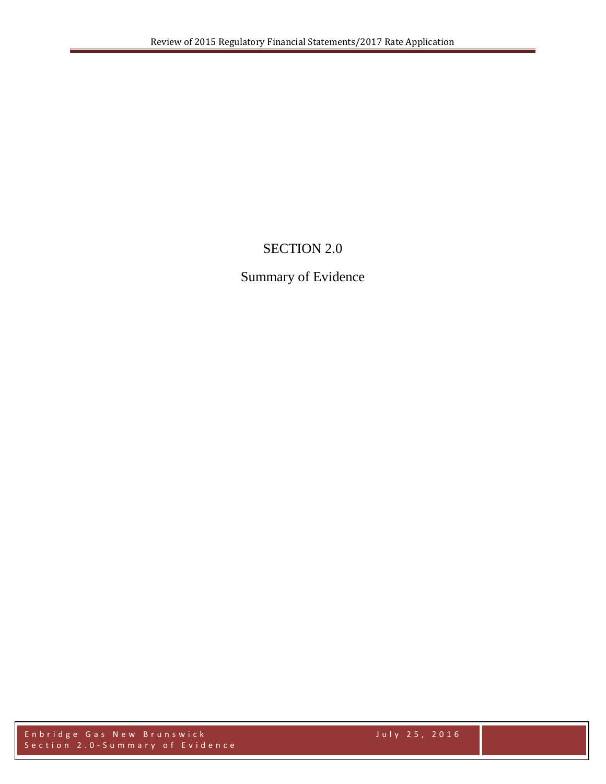# SECTION 2.0

# Summary of Evidence

Enbridge Gas New Brunswick July 2 5 , 2016 Section 2.0 - Summary of Evidence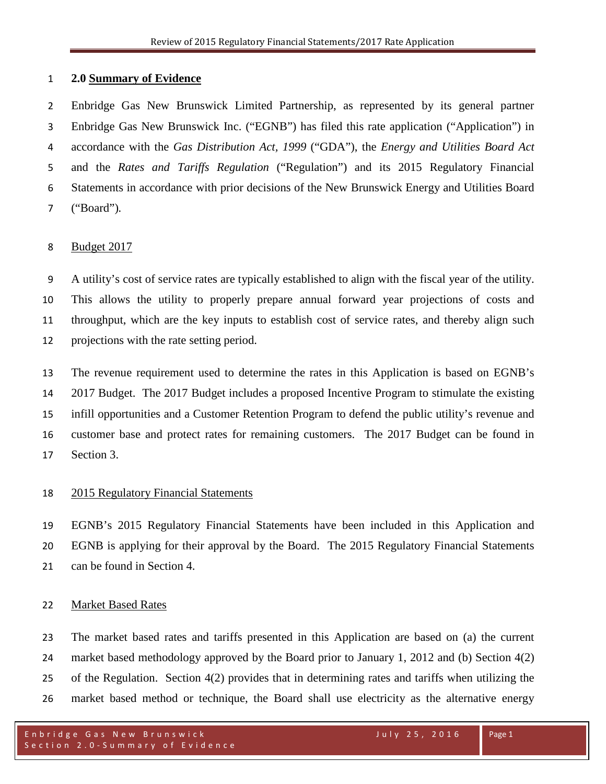### **2.0 Summary of Evidence**

 Enbridge Gas New Brunswick Limited Partnership, as represented by its general partner Enbridge Gas New Brunswick Inc. ("EGNB") has filed this rate application ("Application") in accordance with the *Gas Distribution Act, 1999* ("GDA"), the *Energy and Utilities Board Act* and the *Rates and Tariffs Regulation* ("Regulation") and its 2015 Regulatory Financial Statements in accordance with prior decisions of the New Brunswick Energy and Utilities Board ("Board")*.* 

#### Budget 2017

 A utility's cost of service rates are typically established to align with the fiscal year of the utility. This allows the utility to properly prepare annual forward year projections of costs and throughput, which are the key inputs to establish cost of service rates, and thereby align such projections with the rate setting period.

 The revenue requirement used to determine the rates in this Application is based on EGNB's 2017 Budget. The 2017 Budget includes a proposed Incentive Program to stimulate the existing infill opportunities and a Customer Retention Program to defend the public utility's revenue and customer base and protect rates for remaining customers. The 2017 Budget can be found in Section 3.

### 2015 Regulatory Financial Statements

 EGNB's 2015 Regulatory Financial Statements have been included in this Application and EGNB is applying for their approval by the Board. The 2015 Regulatory Financial Statements can be found in Section 4.

### Market Based Rates

 The market based rates and tariffs presented in this Application are based on (a) the current market based methodology approved by the Board prior to January 1, 2012 and (b) Section 4(2) of the Regulation. Section 4(2) provides that in determining rates and tariffs when utilizing the market based method or technique, the Board shall use electricity as the alternative energy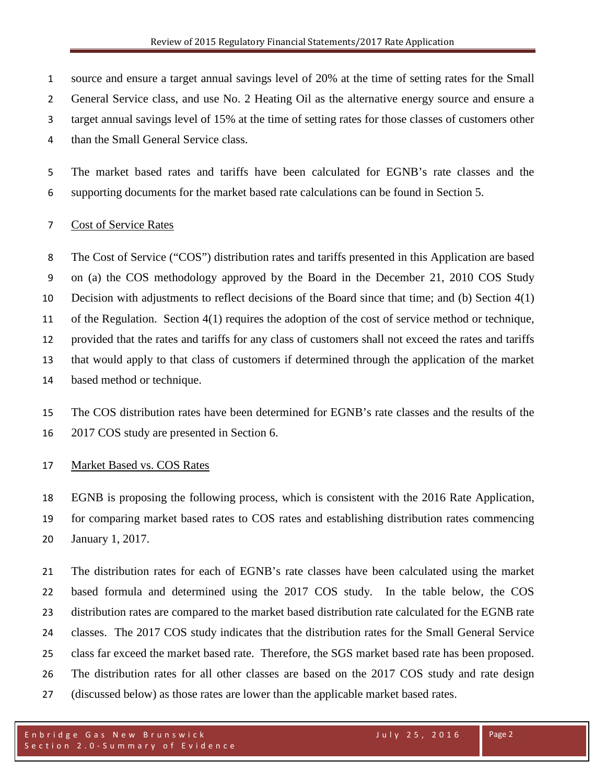source and ensure a target annual savings level of 20% at the time of setting rates for the Small General Service class, and use No. 2 Heating Oil as the alternative energy source and ensure a target annual savings level of 15% at the time of setting rates for those classes of customers other than the Small General Service class.

 The market based rates and tariffs have been calculated for EGNB's rate classes and the supporting documents for the market based rate calculations can be found in Section 5.

# Cost of Service Rates

 The Cost of Service ("COS") distribution rates and tariffs presented in this Application are based on (a) the COS methodology approved by the Board in the December 21, 2010 COS Study Decision with adjustments to reflect decisions of the Board since that time; and (b) Section 4(1) of the Regulation. Section 4(1) requires the adoption of the cost of service method or technique, provided that the rates and tariffs for any class of customers shall not exceed the rates and tariffs that would apply to that class of customers if determined through the application of the market based method or technique.

 The COS distribution rates have been determined for EGNB's rate classes and the results of the 2017 COS study are presented in Section 6.

# Market Based vs. COS Rates

 EGNB is proposing the following process, which is consistent with the 2016 Rate Application, for comparing market based rates to COS rates and establishing distribution rates commencing January 1, 2017.

 The distribution rates for each of EGNB's rate classes have been calculated using the market based formula and determined using the 2017 COS study. In the table below, the COS distribution rates are compared to the market based distribution rate calculated for the EGNB rate classes. The 2017 COS study indicates that the distribution rates for the Small General Service class far exceed the market based rate. Therefore, the SGS market based rate has been proposed. The distribution rates for all other classes are based on the 2017 COS study and rate design (discussed below) as those rates are lower than the applicable market based rates.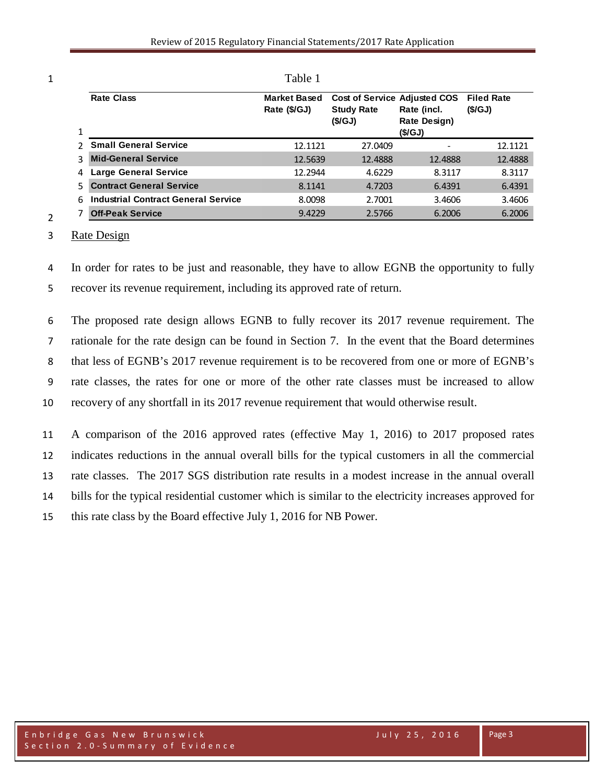| 1 | <b>Rate Class</b>                          | <b>Market Based</b><br>Rate (\$/GJ) | Cost of Service Adjusted COS<br><b>Study Rate</b><br>(S/GJ) | Rate (incl.<br>Rate Design)<br>(S/GJ) | <b>Filed Rate</b><br>(S/GJ) |
|---|--------------------------------------------|-------------------------------------|-------------------------------------------------------------|---------------------------------------|-----------------------------|
|   | <b>Small General Service</b>               | 12.1121                             | 27.0409                                                     |                                       | 12.1121                     |
|   | <b>Mid-General Service</b>                 | 12.5639                             | 12.4888                                                     | 12.4888                               | 12.4888                     |
|   | <b>Large General Service</b>               | 12.2944                             | 4.6229                                                      | 8.3117                                | 8.3117                      |
|   | <b>Contract General Service</b>            | 8.1141                              | 4.7203                                                      | 6.4391                                | 6.4391                      |
|   | <b>Industrial Contract General Service</b> | 8.0098                              | 2.7001                                                      | 3.4606                                | 3.4606                      |
|   | <b>Off-Peak Service</b>                    | 9.4229                              | 2.5766                                                      | 6.2006                                | 6.2006                      |

1 Table 1

3 Rate Design

2

4 In order for rates to be just and reasonable, they have to allow EGNB the opportunity to fully 5 recover its revenue requirement, including its approved rate of return.

 The proposed rate design allows EGNB to fully recover its 2017 revenue requirement. The rationale for the rate design can be found in Section 7. In the event that the Board determines that less of EGNB's 2017 revenue requirement is to be recovered from one or more of EGNB's rate classes, the rates for one or more of the other rate classes must be increased to allow recovery of any shortfall in its 2017 revenue requirement that would otherwise result.

 A comparison of the 2016 approved rates (effective May 1, 2016) to 2017 proposed rates indicates reductions in the annual overall bills for the typical customers in all the commercial rate classes. The 2017 SGS distribution rate results in a modest increase in the annual overall bills for the typical residential customer which is similar to the electricity increases approved for this rate class by the Board effective July 1, 2016 for NB Power.

Page 3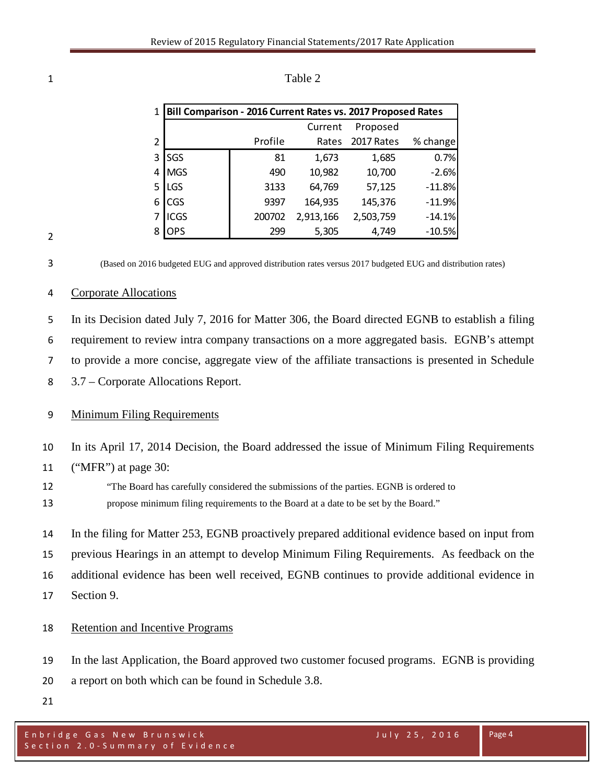| $\mathbf{1}$ |             |         | Bill Comparison - 2016 Current Rates vs. 2017 Proposed Rates |            |          |  |
|--------------|-------------|---------|--------------------------------------------------------------|------------|----------|--|
|              |             |         | Current                                                      | Proposed   |          |  |
| 2            |             | Profile | Rates                                                        | 2017 Rates | % change |  |
| 3            | SGS         | 81      | 1,673                                                        | 1,685      | 0.7%     |  |
| 4            | <b>MGS</b>  | 490     | 10,982                                                       | 10,700     | $-2.6%$  |  |
| 5            | LGS         | 3133    | 64,769                                                       | 57,125     | $-11.8%$ |  |
| 6            | CGS         | 9397    | 164,935                                                      | 145,376    | $-11.9%$ |  |
|              | <b>ICGS</b> | 200702  | 2,913,166                                                    | 2,503,759  | $-14.1%$ |  |
| 8            | OPS         | 299     | 5,305                                                        | 4,749      | $-10.5%$ |  |

| ┸ | Table 2 |  |
|---|---------|--|
|   |         |  |

(Based on 2016 budgeted EUG and approved distribution rates versus 2017 budgeted EUG and distribution rates)

#### Corporate Allocations

 In its Decision dated July 7, 2016 for Matter 306, the Board directed EGNB to establish a filing requirement to review intra company transactions on a more aggregated basis. EGNB's attempt to provide a more concise, aggregate view of the affiliate transactions is presented in Schedule

3.7 – Corporate Allocations Report.

#### Minimum Filing Requirements

- In its April 17, 2014 Decision, the Board addressed the issue of Minimum Filing Requirements
- ("MFR") at page 30:
- "The Board has carefully considered the submissions of the parties. EGNB is ordered to

propose minimum filing requirements to the Board at a date to be set by the Board."

 In the filing for Matter 253, EGNB proactively prepared additional evidence based on input from previous Hearings in an attempt to develop Minimum Filing Requirements. As feedback on the additional evidence has been well received, EGNB continues to provide additional evidence in Section 9.

Retention and Incentive Programs

In the last Application, the Board approved two customer focused programs. EGNB is providing

- a report on both which can be found in Schedule 3.8.
-